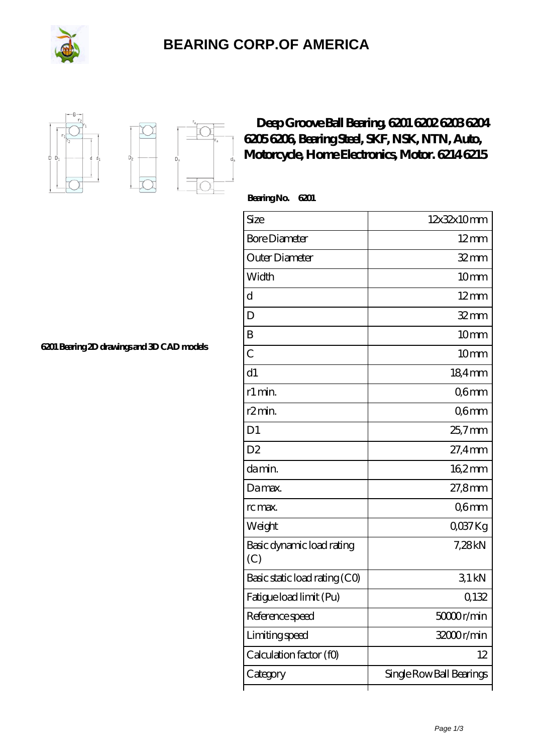

## **[BEARING CORP.OF AMERICA](https://www.freshmxnfood.com)**



 $\overrightarrow{D}$ 

## **[Deep Groove Ball Bearing, 6201 6202 6203 6204](https://www.freshmxnfood.com/skf-6201-bearing/) [6205 6206, Bearing Steel, SKF, NSK, NTN, Auto,](https://www.freshmxnfood.com/skf-6201-bearing/) [Motorcycle, Home Electronics, Motor. 6214 6215](https://www.freshmxnfood.com/skf-6201-bearing/)**

 **Bearing No. 6201**

| Size                             | 12x32x10mm               |
|----------------------------------|--------------------------|
| <b>Bore Diameter</b>             | $12 \text{mm}$           |
| Outer Diameter                   | $32$ mm                  |
| Width                            | 10 <sub>mm</sub>         |
| d                                | $12 \text{mm}$           |
| D                                | $32$ mm                  |
| B                                | 10 <sub>mm</sub>         |
| С                                | 10 <sub>mm</sub>         |
| d1                               | 18,4mm                   |
| r1 min.                          | Q6mm                     |
| r <sub>2</sub> min.              | Q6mm                     |
| D <sub>1</sub>                   | $25.7$ mm                |
| D <sub>2</sub>                   | 27,4mm                   |
| da min.                          | 162mm                    |
| Damax.                           | 27,8mm                   |
| rc max.                          | Q6mm                     |
| Weight                           | QO37Kg                   |
| Basic dynamic load rating<br>(C) | 7,28kN                   |
| Basic static load rating (CO)    | 31kN                     |
| Fatigue load limit (Pu)          | 0,132                    |
| Reference speed                  | 50000r/min               |
| Limiting speed                   | 32000r/min               |
| Calculation factor (f0)          | 12                       |
| Category                         | Single Row Ball Bearings |

**[6201 Bearing 2D drawings and 3D CAD models](https://www.freshmxnfood.com/pic-65271670.html)**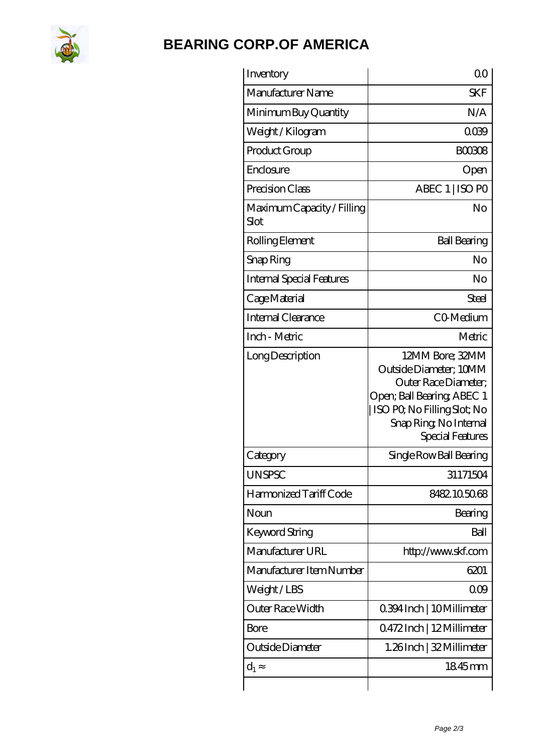

## **[BEARING CORP.OF AMERICA](https://www.freshmxnfood.com)**

| Inventory                          | 00                                                                                                                                                                          |
|------------------------------------|-----------------------------------------------------------------------------------------------------------------------------------------------------------------------------|
| Manufacturer Name                  | <b>SKF</b>                                                                                                                                                                  |
| Minimum Buy Quantity               | N/A                                                                                                                                                                         |
| Weight / Kilogram                  | 0039                                                                                                                                                                        |
| Product Group                      | <b>BOO308</b>                                                                                                                                                               |
| Enclosure                          | Open                                                                                                                                                                        |
| Precision Class                    | ABEC 1   ISO PO                                                                                                                                                             |
| Maximum Capacity / Filling<br>Slot | No                                                                                                                                                                          |
| Rolling Element                    | <b>Ball Bearing</b>                                                                                                                                                         |
| Snap Ring                          | No                                                                                                                                                                          |
| Internal Special Features          | No                                                                                                                                                                          |
| Cage Material                      | Steel                                                                                                                                                                       |
| <b>Internal Clearance</b>          | CO-Medium                                                                                                                                                                   |
| Inch - Metric                      | Metric                                                                                                                                                                      |
| Long Description                   | 12MM Bore; 32MM<br>Outside Diameter; 10MM<br>Outer Race Diameter;<br>Open; Ball Bearing; ABEC 1<br>ISO PQ No Filling Slot; No<br>Snap Ring, No Internal<br>Special Features |
| Category                           | Single Row Ball Bearing                                                                                                                                                     |
| <b>UNSPSC</b>                      | 31171504                                                                                                                                                                    |
| Harmonized Tariff Code             | 8482.105068                                                                                                                                                                 |
| Noun                               | Bearing                                                                                                                                                                     |
| Keyword String                     | Ball                                                                                                                                                                        |
| Manufacturer URL                   | http://www.skf.com                                                                                                                                                          |
| Manufacturer Item Number           | 6201                                                                                                                                                                        |
| Weight / LBS                       | 000                                                                                                                                                                         |
| Outer Race Width                   | 0.394 Inch   10 Millimeter                                                                                                                                                  |
| Bore                               | 0472Inch   12Millimeter                                                                                                                                                     |
| Outside Diameter                   | 1.26Inch   32 Millimeter                                                                                                                                                    |
| $d_1$                              | 1845mm                                                                                                                                                                      |
|                                    |                                                                                                                                                                             |